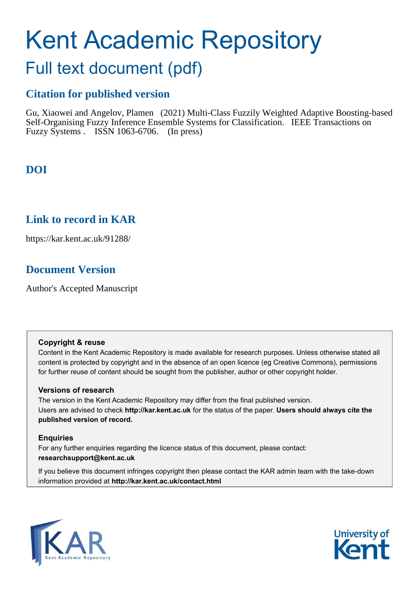# Kent Academic Repository

# Full text document (pdf)

# **Citation for published version**

Gu, Xiaowei and Angelov, Plamen (2021) Multi-Class Fuzzily Weighted Adaptive Boosting-based Self-Organising Fuzzy Inference Ensemble Systems for Classification. IEEE Transactions on Fuzzy Systems . ISSN 1063-6706. (In press)

# **DOI**

# **Link to record in KAR**

https://kar.kent.ac.uk/91288/

# **Document Version**

Author's Accepted Manuscript

## **Copyright & reuse**

Content in the Kent Academic Repository is made available for research purposes. Unless otherwise stated all content is protected by copyright and in the absence of an open licence (eg Creative Commons), permissions for further reuse of content should be sought from the publisher, author or other copyright holder.

## **Versions of research**

The version in the Kent Academic Repository may differ from the final published version. Users are advised to check **http://kar.kent.ac.uk** for the status of the paper. **Users should always cite the published version of record.**

## **Enquiries**

For any further enquiries regarding the licence status of this document, please contact: **researchsupport@kent.ac.uk**

If you believe this document infringes copyright then please contact the KAR admin team with the take-down information provided at **http://kar.kent.ac.uk/contact.html**



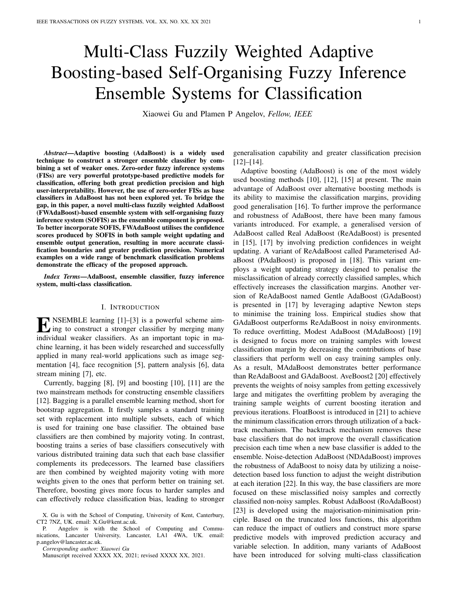# Multi-Class Fuzzily Weighted Adaptive Boosting-based Self-Organising Fuzzy Inference Ensemble Systems for Classification

Xiaowei Gu and Plamen P Angelov, *Fellow, IEEE*

*Abstract*—Adaptive boosting (AdaBoost) is a widely used technique to construct a stronger ensemble classifier by combining a set of weaker ones. Zero-order fuzzy inference systems (FISs) are very powerful prototype-based predictive models for classification, offering both great prediction precision and high user-interpretability. However, the use of zero-order FISs as base classifiers in AdaBoost has not been explored yet. To bridge the gap, in this paper, a novel multi-class fuzzily weighted AdaBoost (FWAdaBoost)-based ensemble system with self-organising fuzzy inference system (SOFIS) as the ensemble component is proposed. To better incorporate SOFIS, FWAdaBoost utilises the confidence scores produced by SOFIS in both sample weight updating and ensemble output generation, resulting in more accurate classification boundaries and greater prediction precision. Numerical examples on a wide range of benchmark classification problems demonstrate the efficacy of the proposed approach.

*Index Terms*—AdaBoost, ensemble classifier, fuzzy inference system, multi-class classification.

#### I. INTRODUCTION

**EXEMBLE** learning  $[1]$ – $[3]$  is a powerful scheme aim-<br>ing to construct a stronger classifier by merging many ing to construct a stronger classifier by merging many individual weaker classifiers. As an important topic in machine learning, it has been widely researched and successfully applied in many real-world applications such as image segmentation [4], face recognition [5], pattern analysis [6], data stream mining [7], etc.

Currently, bagging [8], [9] and boosting [10], [11] are the two mainstream methods for constructing ensemble classifiers [12]. Bagging is a parallel ensemble learning method, short for bootstrap aggregation. It firstly samples a standard training set with replacement into multiple subsets, each of which is used for training one base classifier. The obtained base classifiers are then combined by majority voting. In contrast, boosting trains a series of base classifiers consecutively with various distributed training data such that each base classifier complements its predecessors. The learned base classifiers are then combined by weighted majority voting with more weights given to the ones that perform better on training set. Therefore, boosting gives more focus to harder samples and can effectively reduce classification bias, leading to stronger

P. Angelov is with the School of Computing and Communications, Lancaster University, Lancaster, LA1 4WA, UK. email: p.angelov@lancaster.ac.uk.

*Corresponding author: Xiaowei Gu*

generalisation capability and greater classification precision [12]–[14].

Adaptive boosting (AdaBoost) is one of the most widely used boosting methods [10], [12], [15] at present. The main advantage of AdaBoost over alternative boosting methods is its ability to maximise the classification margins, providing good generalisation [16]. To further improve the performance and robustness of AdaBoost, there have been many famous variants introduced. For example, a generalised version of AdaBoost called Real AdaBoost (ReAdaBoost) is presented in [15], [17] by involving prediction confidences in weight updating. A variant of ReAdaBoost called Parameterised AdaBoost (PAdaBoost) is proposed in [18]. This variant employs a weight updating strategy designed to penalise the misclassification of already correctly classified samples, which effectively increases the classification margins. Another version of ReAdaBoost named Gentle AdaBoost (GAdaBoost) is presented in [17] by leveraging adaptive Newton steps to minimise the training loss. Empirical studies show that GAdaBoost outperforms ReAdaBoost in noisy environments. To reduce overfitting, Modest AdaBoost (MAdaBoost) [19] is designed to focus more on training samples with lowest classification margin by decreasing the contributions of base classifiers that perform well on easy training samples only. As a result, MAdaBoost demonstrates better performance than ReAdaBoost and GAdaBoost. AveBoost2 [20] effectively prevents the weights of noisy samples from getting excessively large and mitigates the overfitting problem by averaging the training sample weights of current boosting iteration and previous iterations. FloatBoost is introduced in [21] to achieve the minimum classification errors through utilization of a backtrack mechanism. The backtrack mechanism removes these base classifiers that do not improve the overall classification precision each time when a new base classifier is added to the ensemble. Noise-detection AdaBoost (NDAdaBoost) improves the robustness of AdaBoost to noisy data by utilizing a noisedetection based loss function to adjust the weight distribution at each iteration [22]. In this way, the base classifiers are more focused on these misclassified noisy samples and correctly classified non-noisy samples. Robust AdaBoost (RoAdaBoost) [23] is developed using the majorisation-minimisation principle. Based on the truncated loss functions, this algorithm can reduce the impact of outliers and construct more sparse predictive models with improved prediction accuracy and variable selection. In addition, many variants of AdaBoost have been introduced for solving multi-class classification

X. Gu is with the School of Computing, University of Kent, Canterbury, CT2 7NZ, UK. email: X.Gu@kent.ac.uk.

Manuscript received XXXX XX, 2021; revised XXXX XX, 2021.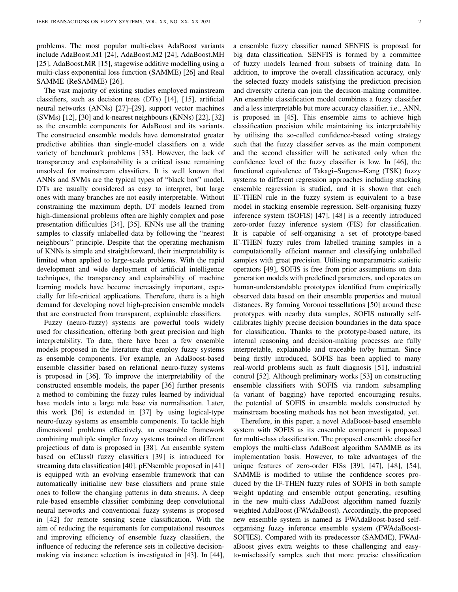problems. The most popular multi-class AdaBoost variants include AdaBoost.M1 [24], AdaBoost.M2 [24], AdaBoost.MH [25], AdaBoost.MR [15], stagewise additive modelling using a multi-class exponential loss function (SAMME) [26] and Real SAMME (ReSAMME) [26].

The vast majority of existing studies employed mainstream classifiers, such as decision trees (DTs) [14], [15], artificial neural networks (ANNs) [27]–[29], support vector machines (SVMs) [12], [30] and k-nearest neighbours (KNNs) [22], [32] as the ensemble components for AdaBoost and its variants. The constructed ensemble models have demonstrated greater predictive abilities than single-model classifiers on a wide variety of benchmark problems [33]. However, the lack of transparency and explainability is a critical issue remaining unsolved for mainstream classifiers. It is well known that ANNs and SVMs are the typical types of "black box" model. DTs are usually considered as easy to interpret, but large ones with many branches are not easily interpretable. Without constraining the maximum depth, DT models learned from high-dimensional problems often are highly complex and pose presentation difficulties [34], [35]. KNNs use all the training samples to classify unlabelled data by following the "nearest neighbours" principle. Despite that the operating mechanism of KNNs is simple and straightforward, their interpretability is limited when applied to large-scale problems. With the rapid development and wide deployment of artificial intelligence techniques, the transparency and explainability of machine learning models have become increasingly important, especially for life-critical applications. Therefore, there is a high demand for developing novel high-precision ensemble models that are constructed from transparent, explainable classifiers.

Fuzzy (neuro-fuzzy) systems are powerful tools widely used for classification, offering both great precision and high interpretability. To date, there have been a few ensemble models proposed in the literature that employ fuzzy systems as ensemble components. For example, an AdaBoost-based ensemble classifier based on relational neuro-fuzzy systems is proposed in [36]. To improve the interpretability of the constructed ensemble models, the paper [36] further presents a method to combining the fuzzy rules learned by individual base models into a large rule base via normalisation. Later, this work [36] is extended in [37] by using logical-type neuro-fuzzy systems as ensemble components. To tackle high dimensional problems effectively, an ensemble framework combining multiple simpler fuzzy systems trained on different projections of data is proposed in [38]. An ensemble system based on eClass0 fuzzy classifiers [39] is introduced for streaming data classification [40]. pENsemble proposed in [41] is equipped with an evolving ensemble framework that can automatically initialise new base classifiers and prune stale ones to follow the changing patterns in data streams. A deep rule-based ensemble classifier combining deep convolutional neural networks and conventional fuzzy systems is proposed in [42] for remote sensing scene classification. With the aim of reducing the requirements for computational resources and improving efficiency of ensemble fuzzy classifiers, the influence of reducing the reference sets in collective decisionmaking via instance selection is investigated in [43]. In [44],

a ensemble fuzzy classifier named SENFIS is proposed for big data classification. SENFIS is formed by a committee of fuzzy models learned from subsets of training data. In addition, to improve the overall classification accuracy, only the selected fuzzy models satisfying the prediction precision and diversity criteria can join the decision-making committee. An ensemble classification model combines a fuzzy classifier and a less interpretable but more accuracy classifier, i.e., ANN, is proposed in [45]. This ensemble aims to achieve high classification precision while maintaining its interpretability by utilising the so-called confidence-based voting strategy such that the fuzzy classifier serves as the main component and the second classifier will be activated only when the confidence level of the fuzzy classifier is low. In [46], the functional equivalence of Takagi–Sugeno–Kang (TSK) fuzzy systems to different regression approaches including stacking ensemble regression is studied, and it is shown that each IF-THEN rule in the fuzzy system is equivalent to a base model in stacking ensemble regression. Self-organising fuzzy inference system (SOFIS) [47], [48] is a recently introduced zero-order fuzzy inference system (FIS) for classification. It is capable of self-organising a set of prototype-based IF-THEN fuzzy rules from labelled training samples in a computationally efficient manner and classifying unlabelled samples with great precision. Utilising nonparametric statistic operators [49], SOFIS is free from prior assumptions on data generation models with predefined parameters, and operates on human-understandable prototypes identified from empirically observed data based on their ensemble properties and mutual distances. By forming Voronoi tessellations [50] around these prototypes with nearby data samples, SOFIS naturally selfcalibrates highly precise decision boundaries in the data space for classification. Thanks to the prototype-based nature, its internal reasoning and decision-making processes are fully interpretable, explainable and traceable to/by human. Since being firstly introduced, SOFIS has been applied to many real-world problems such as fault diagnosis [51], industrial control [52]. Although preliminary works [53] on constructing ensemble classifiers with SOFIS via random subsampling (a variant of bagging) have reported encouraging results, the potential of SOFIS in ensemble models constructed by mainstream boosting methods has not been investigated, yet.

Therefore, in this paper, a novel AdaBoost-based ensemble system with SOFIS as its ensemble component is proposed for multi-class classification. The proposed ensemble classifier employs the multi-class AdaBoost algorithm SAMME as its implementation basis. However, to take advantages of the unique features of zero-order FISs [39], [47], [48], [54], SAMME is modified to utilise the confidence scores produced by the IF-THEN fuzzy rules of SOFIS in both sample weight updating and ensemble output generating, resulting in the new multi-class AdaBoost algorithm named fuzzily weighted AdaBoost (FWAdaBoost). Accordingly, the proposed new ensemble system is named as FWAdaBoost-based selforganising fuzzy inference ensemble system (FWAdaBoost-SOFIES). Compared with its predecessor (SAMME), FWAdaBoost gives extra weights to these challenging and easyto-misclassify samples such that more precise classification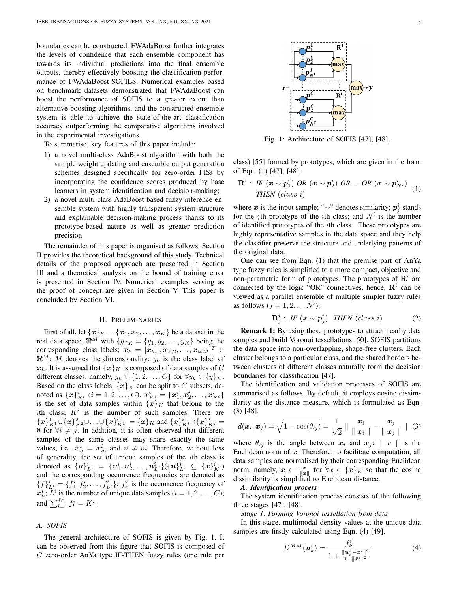boundaries can be constructed. FWAdaBoost further integrates the levels of confidence that each ensemble component has towards its individual predictions into the final ensemble outputs, thereby effectively boosting the classification performance of FWAdaBoost-SOFIES. Numerical examples based on benchmark datasets demonstrated that FWAdaBoost can boost the performance of SOFIS to a greater extent than alternative boosting algorithms, and the constructed ensemble system is able to achieve the state-of-the-art classification accuracy outperforming the comparative algorithms involved in the experimental investigations.

To summarise, key features of this paper include:

- 1) a novel multi-class AdaBoost algorithm with both the sample weight updating and ensemble output generation schemes designed specifically for zero-order FISs by incorporating the confidence scores produced by base learners in system identification and decision-making;
- 2) a novel multi-class AdaBoost-based fuzzy inference ensemble system with highly transparent system structure and explainable decision-making process thanks to its prototype-based nature as well as greater prediction precision.

The remainder of this paper is organised as follows. Section II provides the theoretical background of this study. Technical details of the proposed approach are presented in Section III and a theoretical analysis on the bound of training error is presented in Section IV. Numerical examples serving as the proof of concept are given in Section V. This paper is concluded by Section VI.

#### II. PRELIMINARIES

First of all, let  $\{x\}_K = \{x_1, x_2, \ldots, x_K\}$  be a dataset in the real data space,  $\mathbb{R}^M$  with  $\{y\}_K = \{y_1, y_2, \dots, y_K\}$  being the corresponding class labels;  $\boldsymbol{x}_k = [\boldsymbol{x}_{k,1}, \boldsymbol{x}_{k,2}, \dots, \boldsymbol{x}_{k,M}]^T \in$  $\mathbb{R}^M$ ; M denotes the dimensionality;  $y_k$  is the class label of  $x_k$ . It is assumed that  $\{x\}_k$  is composed of data samples of C different classes, namely,  $y_k \in \{1, 2, ..., C\}$  for  $\forall y_k \in \{y\}_K$ . Based on the class labels,  $\{x\}_K$  can be split to C subsets, denoted as  $\{\boldsymbol{x}\}_{K^i}^i$   $(i = 1, 2, ..., C)$ .  $\boldsymbol{x}_{K^i}^i = \{\boldsymbol{x}_1^i, \boldsymbol{x}_2^i, \dots, \boldsymbol{x}_{K^i}^i\}$ is the set of data samples within  $\{\overline{x}\}_K$  that belong to the ith class;  $K^i$  is the number of such samples. There are  $\{\boldsymbol{x}\}_{K^{1}}^{1}\cup\{\boldsymbol{x}\}_{K^{2}}^{2}\cup\ldots\cup\{\boldsymbol{x}\}_{K^{C}}^{C}=\{\boldsymbol{x}\}_{K}$  and  $\{\boldsymbol{x}\}_{K^{i}}^{i}\cap\{\boldsymbol{x}\}_{K^{j}}^{j}=$  $\emptyset$  for  $\forall i \neq j$ . In addition, it is often observed that different samples of the same classes may share exactly the same values, i.e.,  $x_n^i = x_m^i$  and  $n \neq m$ . Therefore, without loss of generality, the set of unique samples of the ith class is denoted as  $\{u\}_{L^i}^i = \{u_1^i, u_2^i, \ldots, u_{L^i}^i\} (\{u\}_{L^i}^i \subseteq \{x\}_{K^i}^i)$ and the corresponding occurrence frequencies are denoted as  ${f}^i_{L^i} = {f^i_1, f^i_2, \ldots, f^i_{L^i}};$   $f^i_k$  is the occurrence frequency of  $x_k^i$ ;  $\overline{L}^i$  is the number of unique data samples  $(i = 1, 2, \ldots, C)$ ; and  $\sum_{l=1}^{L^i} f_l^i = K^i$ .

#### *A. SOFIS*

The general architecture of SOFIS is given by Fig. 1. It can be observed from this figure that SOFIS is composed of C zero-order AnYa type IF-THEN fuzzy rules (one rule per

ma:  ${\bf R}^{\mathcal C}$ ma

Fig. 1: Architecture of SOFIS [47], [48].

class) [55] formed by prototypes, which are given in the form of Eqn. (1) [47], [48].

$$
\mathbf{R}^{i}: \text{ IF } (\mathbf{x} \sim \mathbf{p}_{1}^{i}) \text{ OR } (\mathbf{x} \sim \mathbf{p}_{2}^{i}) \text{ OR } \dots \text{ OR } (\mathbf{x} \sim \mathbf{p}_{N^{i}}^{i}) \quad (1)
$$
\n
$$
\text{THEN } (\text{class } i)
$$

where x is the input sample; " $\sim$ " denotes similarity;  $p_j^i$  stands for the jth prototype of the *i*th class; and  $N<sup>i</sup>$  is the number of identified prototypes of the ith class. These prototypes are highly representative samples in the data space and they help the classifier preserve the structure and underlying patterns of the original data.

One can see from Eqn. (1) that the premise part of AnYa type fuzzy rules is simplified to a more compact, objective and non-parametric form of prototypes. The prototypes of  $\mathbb{R}^i$  are connected by the logic "OR" connectives, hence,  $\mathbf{R}^i$  can be viewed as a parallel ensemble of multiple simpler fuzzy rules as follows  $(j = 1, 2, ..., N^i)$ :

$$
\mathbf{R}_j^i: \text{ IF } (\textbf{x} \sim \textbf{p}_j^i) \text{ THEN } (class \text{ } i)
$$
 (2)

**Remark 1:** By using these prototypes to attract nearby data samples and build Voronoi tessellations [50], SOFIS partitions the data space into non-overlapping, shape-free clusters. Each cluster belongs to a particular class, and the shared borders between clusters of different classes naturally form the decision boundaries for classification [47].

The identification and validation processes of SOFIS are summarised as follows. By default, it employs cosine dissimilarity as the distance measure, which is formulated as Eqn. (3) [48].

$$
d(\boldsymbol{x}_i, \boldsymbol{x}_j) = \sqrt{1 - \cos(\theta_{ij})} = \frac{1}{\sqrt{2}} \parallel \frac{\boldsymbol{x}_i}{\parallel \boldsymbol{x}_i \parallel} - \frac{\boldsymbol{x}_j}{\parallel \boldsymbol{x}_j \parallel} \parallel (3)
$$

where  $\theta_{ij}$  is the angle between  $x_i$  and  $x_j$ ;  $\parallel x \parallel$  is the Euclidean norm of  $x$ . Therefore, to facilitate computation, all data samples are normalised by their corresponding Euclidean norm, namely,  $x \leftarrow \frac{x}{\|x\|}$  for  $\forall x \in \{x\}_K$  so that the cosine dissimilarity is simplified to Euclidean distance.

#### *A. Identification process*

The system identification process consists of the following three stages [47], [48].

*Stage 1. Forming Voronoi tessellation from data*

In this stage, multimodal density values at the unique data samples are firstly calculated using Eqn. (4) [49].

$$
D^{MM}(u_k^i) = \frac{f_k^i}{1 + \frac{\|u_k^i - \bar{x}^i\|^2}{1 - \|\bar{x}^i\|^2}}
$$
(4)

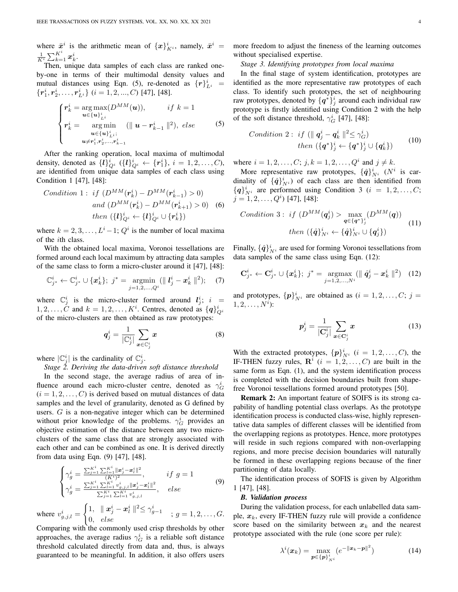where  $\bar{x}^i$  is the arithmetic mean of  $\{x\}_{K^i}^i$ , namely,  $\bar{x}^i$  =  $\frac{1}{K^i}\sum_{k=1}^{K^i} \boldsymbol{x}_k^i.$ 

Then, unique data samples of each class are ranked oneby-one in terms of their multimodal density values and mutual distances using Eqn. (5), re-denoted as  $\{r\}_{Li}^{i}$  =  $\{\boldsymbol{r}_1^i, \boldsymbol{r}_2^i, \dots, \boldsymbol{r}_{L^i}^i\}$   $(i = 1, 2, ..., C)$  [47], [48].

$$
\begin{cases}\n r_k^i = \arg \max_{\mathbf{u} \in {\{\mathbf{u}\}}_{L^i}^i} (D^{MM}(\mathbf{u})), & if \ k = 1 \\
 r_k^i = \arg \min_{\mathbf{u} \in {\{\mathbf{u}\}}_{L^i}^i} (||\mathbf{u} - r_{k-1}^i||^2), \ else \n\end{cases}
$$
\n(5)

After the ranking operation, local maxima of multimodal density, denoted as  $\{l\}_{Q_i}^i$   $(\{l\}_{Q_i}^i \leftarrow \{r_1^i\}, i = 1, 2, ..., C)$ , are identified from unique data samples of each class using Condition 1 [47], [48]:

Condition 1: if 
$$
(D^{MM}(\mathbf{r}_k^i) - D^{MM}(\mathbf{r}_{k-1}^i) > 0)
$$
  
and  $(D^{MM}(\mathbf{r}_k^i) - D^{MM}(\mathbf{r}_{k+1}^i) > 0)$  (6)  
then  $(\{l\}_{Q^i}^i \leftarrow \{l\}_{Q^i}^i \cup \{\mathbf{r}_k^i\})$ 

where  $k = 2, 3, \ldots, L^i - 1$ ;  $Q^i$  is the number of local maxima of the ith class.

With the obtained local maxima, Voronoi tessellations are formed around each local maximum by attracting data samples of the same class to form a micro-cluster around it [47], [48]:

$$
\mathbb{C}_{j^*}^i \leftarrow \mathbb{C}_{j^*}^i \cup \{\bm{x}_k^i\};\; j^* = \operatorname*{argmin}_{j=1,2,\ldots,Q^i} (\parallel \bm{l}_j^i - \bm{x}_k^i \parallel^2); \quad (7)
$$

where  $\mathbb{C}_j^i$  is the micro-cluster formed around  $l_j^i$ ;  $i =$  $1, 2, \ldots, C$  and  $k = 1, 2, \ldots, K^i$ . Centres, denoted as  $\{q\}_{Q^i}^i$ of the micro-clusters are then obtained as raw prototypes:

$$
\boldsymbol{q}_j^i = \frac{1}{|\mathbb{C}_j^i|} \sum_{\boldsymbol{x} \in \mathbb{C}_j^i} \boldsymbol{x}
$$
 (8)

where  $|\mathbb{C}_j^i|$  is the cardinality of  $\mathbb{C}_j^i$ .

*Stage 2. Deriving the data-driven soft distance threshold*

In the second stage, the average radius of area of influence around each micro-cluster centre, denoted as  $\gamma_G^i$  $(i = 1, 2, \ldots, C)$  is derived based on mutual distances of data samples and the level of granularity, denoted as G defined by users. G is a non-negative integer which can be determined without prior knowledge of the problems.  $\gamma_G^i$  provides an objective estimation of the distance between any two microclusters of the same class that are strongly associated with each other and can be combined as one. It is derived directly from data using Eqn. (9) [47], [48].

$$
\begin{cases}\n\gamma_g^i = \frac{\sum_{j=1}^{K^i} \sum_{l=1}^{K^i} \|x_j^i - x_l^i\|^2}{(K^i)^2}, & \text{if } g = 1 \\
\gamma_g^i = \frac{\sum_{j=1}^{K^i} \sum_{l=1}^{K^i} v_{g,j,l}^i \|x_j^i - x_l^i\|^2}{\sum_{j=1}^{K^i} \sum_{l=1}^{K^i} v_{g,j,l}^i}, & \text{else}\n\end{cases} \tag{9}
$$

where  $v_{g,j,l}^i =$  $\int 1, \quad \parallel \boldsymbol{x}_j^i - \boldsymbol{x}_l^i \parallel^2 \leq \gamma_{g-1}^i$  $\begin{array}{cc} 0, & \frac{1}{2} \ 0, & \frac{1}{2} \ \frac{1}{2} \ 0, & \frac{1}{2} \ \frac{1}{2} \end{array}$  ;  $g = 1, 2, \ldots, G$ .

Comparing with the commonly used crisp thresholds by other approaches, the average radius  $\gamma_G^i$  is a reliable soft distance threshold calculated directly from data and, thus, is always guaranteed to be meaningful. In addition, it also offers users more freedom to adjust the fineness of the learning outcomes without specialised expertise.

#### *Stage 3. Identifying prototypes from local maxima*

In the final stage of system identification, prototypes are identified as the more representative raw prototypes of each class. To identify such prototypes, the set of neighbouring raw prototypes, denoted by  $\{q^*\}_{j=1}^i$  around each individual raw prototype is firstly identified using Condition 2 with the help of the soft distance threshold,  $\gamma_G^i$  [47], [48]:

Condition 2: if 
$$
(\parallel \mathbf{q}_j^i - \mathbf{q}_k^i \parallel^2 \leq \gamma_G^i)
$$
  
\nthen  $({\{\mathbf{q}^*}\}_{j}^i \leftarrow {\{\mathbf{q}^*\}_{j}^i \cup {\{\mathbf{q}_k^i\}}}$  (10)

where  $i = 1, 2, ..., C$ ;  $j, k = 1, 2, ..., Q^i$  and  $j \neq k$ .

More representative raw prototypes,  $\{\hat{q}\}_{N^i}^i$  ( $N^i$  is cardinality of  $\{\hat{q}\}_{N^i}^i$  of each class are then identified from  ${q}^i_{N^i}$  are performed using Condition 3 ( $i = 1, 2, ..., C;$  $j = 1, 2, \ldots, Q<sup>i</sup>$  [47], [48]:

Condition 3: if 
$$
(D^{MM}(q_j^i) > \max_{q \in \{q^*\}_j^i} (D^{MM}(q))
$$
  
then  $(\{\hat{q}\}_{N^i}^i \leftarrow \{\hat{q}\}_{N^i}^i \cup \{q_j^i\})$  (11)

Finally,  $\{\hat{\boldsymbol{q}}\}_{N^i}^i$  are used for forming Voronoi tessellations from data samples of the same class using Eqn. (12):

$$
\mathbf{C}_{j^*}^i \leftarrow \mathbf{C}_{j^*}^i \cup \{\mathbf{x}_k^i\}; \; j^* = \operatorname*{argmax}_{j=1,2,...,N^i} (\parallel \hat{\mathbf{q}}_j^i - \mathbf{x}_k^i \parallel^2) \quad (12)
$$

and prototypes,  $\{p\}_{N^i}^i$  are obtained as  $(i = 1, 2, \dots, C; j =$  $1, 2, \ldots, N^i$ :

$$
\boldsymbol{p}_j^i = \frac{1}{|\mathbf{C}_j^i|} \sum_{\boldsymbol{x} \in \mathbf{C}_j^i} \boldsymbol{x}
$$
 (13)

With the extracted prototypes,  $\{p\}_{N^i}^i$   $(i = 1, 2, \dots, C)$ , the IF-THEN fuzzy rules,  $\mathbb{R}^i$  ( $i = 1, 2, ..., C$ ) are built in the same form as Eqn. (1), and the system identification process is completed with the decision boundaries built from shapefree Voronoi tessellations formed around prototypes [50].

Remark 2: An important feature of SOIFS is its strong capability of handling potential class overlaps. As the prototype identification process is conducted class-wise, highly representative data samples of different classes will be identified from the overlapping regions as prototypes. Hence, more prototypes will reside in such regions compared with non-overlapping regions, and more precise decision boundaries will naturally be formed in these overlapping regions because of the finer partitioning of data locally.

The identification process of SOFIS is given by Algorithm 1 [47], [48].

#### *B. Validation process*

During the validation process, for each unlabelled data sample,  $x_k$ , every IF-THEN fuzzy rule will provide a confidence score based on the similarity between  $x_k$  and the nearest prototype associated with the rule (one score per rule):

$$
\lambda^{i}(\boldsymbol{x}_{k}) = \max_{\boldsymbol{p} \in \{\boldsymbol{p}\}_{N^{i}}^{i}} \left(e^{-\|\boldsymbol{x}_{k} - \boldsymbol{p}\|^{2}}\right)
$$
(14)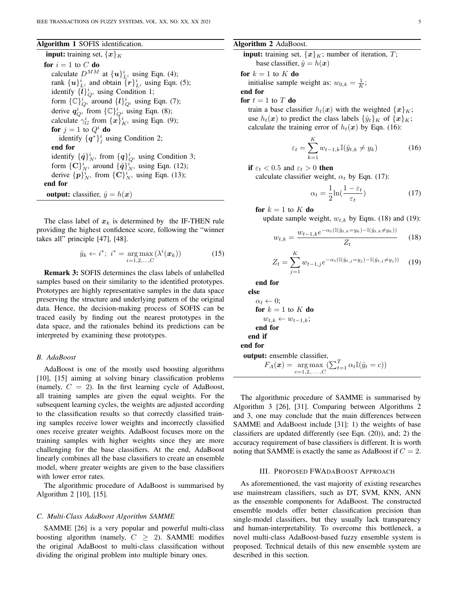Algorithm 1 SOFIS identification.

**input:** training set,  $\{x\}_K$ for  $i = 1$  to C do calculate  $D^{MM}$  at  $\{u\}_{L^i}^i$  using Eqn. (4); rank  $\{u\}_{L^i}^i$  and obtain  $\{r\}_{L^i}^i$  using Eqn. (5); identify  $\{\bar{l}\}_{Q_i}^i$  using Condition 1; form  $\{ \mathbb{C} \}_{Q_i}^i$  around  $\{ l \}_{Q_i}^i$  using Eqn. (7); derive  $q_{Q_i}^i$  from  $\{ \mathbb{C} \}_{Q_i}^i$  using Eqn. (8); calculate  $\gamma_G^i$  from  $\{x\}_{K^i}^i$  using Eqn. (9); for  $j = 1$  to  $Q^i$  do identify  $\{q^*\}_j^i$  using Condition 2; end for identify  $\{\hat{q}\}_{N^i}^i$  from  $\{q\}_{Q^i}^i$  using Condition 3; form  $\{\mathbf{C}\}_{N^i}^i$  around  $\{\hat{\mathbf{q}}\}_{N^i}^i$  using Eqn. (12); derive  $\{p\}_{N^i}^i$  from  $\{\mathbf{C}\}_{N^i}^i$  using Eqn. (13); end for **output:** classifier,  $\hat{y} = h(x)$ 

The class label of  $x_k$  is determined by the IF-THEN rule providing the highest confidence score, following the "winner takes all" principle [47], [48].

$$
\hat{y}_k \leftarrow i^*; \ i^* = \underset{i=1,2,\dots,C}{\arg \max} (\lambda^i(\boldsymbol{x}_k)) \tag{15}
$$

Remark 3: SOFIS determines the class labels of unlabelled samples based on their similarity to the identified prototypes. Prototypes are highly representative samples in the data space preserving the structure and underlying pattern of the original data. Hence, the decision-making process of SOFIS can be traced easily by finding out the nearest prototypes in the data space, and the rationales behind its predictions can be interpreted by examining these prototypes.

#### *B. AdaBoost*

AdaBoost is one of the mostly used boosting algorithms [10], [15] aiming at solving binary classification problems (namely,  $C = 2$ ). In the first learning cycle of AdaBoost, all training samples are given the equal weights. For the subsequent learning cycles, the weights are adjusted according to the classification results so that correctly classified training samples receive lower weights and incorrectly classified ones receive greater weights. AdaBoost focuses more on the training samples with higher weights since they are more challenging for the base classifiers. At the end, AdaBoost linearly combines all the base classifiers to create an ensemble model, where greater weights are given to the base classifiers with lower error rates.

The algorithmic procedure of AdaBoost is summarised by Algorithm 2 [10], [15].

#### *C. Multi-Class AdaBoost Algorithm SAMME*

SAMME [26] is a very popular and powerful multi-class boosting algorithm (namely,  $C \geq 2$ ). SAMME modifies the original AdaBoost to multi-class classification without dividing the original problem into multiple binary ones.

#### Algorithm 2 AdaBoost.

**input:** training set,  $\{x\}_K$ ; number of iteration, T; base classifier,  $\hat{y} = h(x)$ 

for  $k = 1$  to  $K$  do

initialise sample weight as:  $w_{0,k} = \frac{1}{K}$ ;

end for

for  $t = 1$  to T do

train a base classifier  $h_t(x)$  with the weighted  $\{x\}_K$ ; use  $h_t(x)$  to predict the class labels  $\{\hat{y}_t\}_K$  of  $\{x\}_K$ ; calculate the training error of  $h_t(x)$  by Eqn. (16):

$$
\varepsilon_t = \sum_{k=1}^K w_{t-1,k} \mathbb{I}(\hat{y}_{t,k} \neq y_k)
$$
 (16)

$$
\text{if } \varepsilon_t < 0.5 \text{ and } \varepsilon_t > 0 \text{ then}
$$

calculate classifier weight,  $\alpha_t$  by Eqn. (17):

$$
\alpha_t = \frac{1}{2} \ln(\frac{1 - \varepsilon_t}{\varepsilon_t})
$$
\n(17)

for 
$$
k = 1
$$
 to  $K$  do

update sample weight,  $w_{t,k}$  by Eqns. (18) and (19):

$$
w_{t,k} = \frac{w_{t-1,k}e^{-\alpha_t(\mathbb{I}(\hat{y}_{t,k} = y_k) - \mathbb{I}(\hat{y}_{t,k} \neq y_k))}}{Z_t}
$$
 (18)

$$
Z_t = \sum_{j=1}^{K} w_{t-1,j} e^{-\alpha_t (\mathbb{I}(\hat{y}_{t,j} = y_j) - \mathbb{I}(\hat{y}_{t,j} \neq y_j))}
$$
(19)

end for

else  $\alpha_t \leftarrow 0;$ for  $k = 1$  to K do  $w_{t,k} \leftarrow w_{t-1,k};$ end for end if end for output: ensemble classifier

$$
F_A(\boldsymbol{x}) = \underset{c=1,2,\ldots,C}{\arg \max} (\sum_{t=1}^T \alpha_t \mathbb{I}(\hat{y}_t = c))
$$

The algorithmic procedure of SAMME is summarised by Algorithm 3 [26], [31]. Comparing between Algorithms 2 and 3, one may conclude that the main differences between SAMME and AdaBoost include [31]: 1) the weights of base classifiers are updated differently (see Eqn. (20)), and; 2) the accuracy requirement of base classifiers is different. It is worth noting that SAMME is exactly the same as AdaBoost if  $C = 2$ .

#### III. PROPOSED FWADABOOST APPROACH

As aforementioned, the vast majority of existing researches use mainstream classifiers, such as DT, SVM, KNN, ANN as the ensemble components for AdaBoost. The constructed ensemble models offer better classification precision than single-model classifiers, but they usually lack transparency and human-interpretability. To overcome this bottleneck, a novel multi-class AdaBoost-based fuzzy ensemble system is proposed. Technical details of this new ensemble system are described in this section.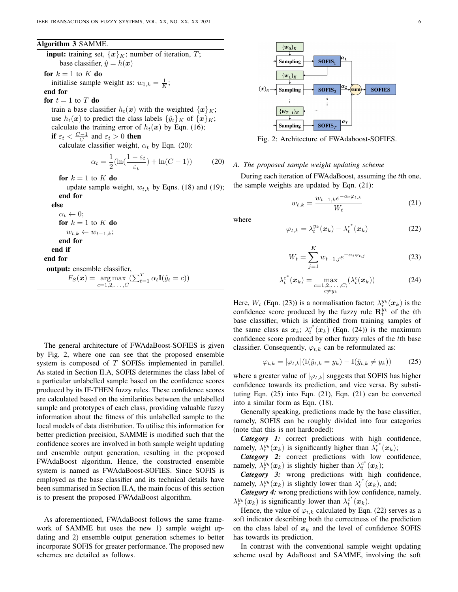#### Algorithm 3 SAMME.

**input:** training set,  $\{x\}_K$ ; number of iteration, T; base classifier,  $\hat{y} = h(x)$ 

#### for  $k = 1$  to  $K$  do

initialise sample weight as:  $w_{0,k} = \frac{1}{K}$ ;

#### end for

for  $t = 1$  to T do

train a base classifier  $h_t(x)$  with the weighted  $\{x\}_K$ ; use  $h_t(x)$  to predict the class labels  $\{\hat{y}_t\}_K$  of  $\{x\}_K$ ; calculate the training error of  $h_t(x)$  by Eqn. (16); if  $\varepsilon_t < \frac{C-1}{C}$  and  $\varepsilon_t > 0$  then

calculate classifier weight,  $\alpha_t$  by Eqn. (20):

$$
\alpha_t = \frac{1}{2} (\ln(\frac{1 - \varepsilon_t}{\varepsilon_t}) + \ln(C - 1))
$$
 (20)

for  $k = 1$  to  $K$  do

update sample weight,  $w_{t,k}$  by Eqns. (18) and (19); end for

#### else

 $\alpha_t \leftarrow 0;$ for  $k = 1$  to K do  $w_{t,k} \leftarrow w_{t-1,k};$ end for end if end for output: ensemble classifier,  $F_S(\boldsymbol{x}) = \argmax_{c=1,2,\ldots,C} (\sum_{t=1}^T \alpha_t \mathbb{I}(\hat{y}_t = c))$ 

The general architecture of FWAdaBoost-SOFIES is given by Fig. 2, where one can see that the proposed ensemble system is composed of T SOFISs implemented in parallel. As stated in Section II.A, SOFIS determines the class label of a particular unlabelled sample based on the confidence scores produced by its IF-THEN fuzzy rules. These confidence scores are calculated based on the similarities between the unlabelled sample and prototypes of each class, providing valuable fuzzy information about the fitness of this unlabelled sample to the local models of data distribution. To utilise this information for better prediction precision, SAMME is modified such that the confidence scores are involved in both sample weight updating and ensemble output generation, resulting in the proposed FWAdaBoost algorithm. Hence, the constructed ensemble system is named as FWAdaBoost-SOFIES. Since SOFIS is employed as the base classifier and its technical details have been summarised in Section II.A, the main focus of this section is to present the proposed FWAdaBoost algorithm.

As aforementioned, FWAdaBoost follows the same framework of SAMME but uses the new 1) sample weight updating and 2) ensemble output generation schemes to better incorporate SOFIS for greater performance. The proposed new schemes are detailed as follows.



Fig. 2: Architecture of FWAdaboost-SOFIES.

#### *A. The proposed sample weight updating scheme*

During each iteration of FWAdaBoost, assuming the tth one, the sample weights are updated by Eqn. (21):

$$
w_{t,k} = \frac{w_{t-1,k}e^{-\alpha_t\varphi_{t,k}}}{W_t} \tag{21}
$$

where

$$
\varphi_{t,k} = \lambda_t^{y_k}(\boldsymbol{x}_k) - \lambda_t^{c^*}(\boldsymbol{x}_k)
$$
\n(22)

$$
W_t = \sum_{j=1}^{K} w_{t-1,j} e^{-\alpha_t \varphi_{t,j}}
$$
 (23)

$$
\lambda_t^{c^*}(\boldsymbol{x}_k) = \max_{\substack{c=1,2,\ldots,C;\\c \neq y_k}} (\lambda_t^c(\boldsymbol{x}_k))
$$
(24)

Here,  $W_t$  (Eqn. (23)) is a normalisation factor;  $\lambda_r^{y_k}(\mathbf{x}_k)$  is the confidence score produced by the fuzzy rule  $\mathbf{R}_{t}^{y_{k}}$  of the tth base classifier, which is identified from training samples of the same class as  $x_k$ ;  $\lambda_t^{c^*}(x_k)$  (Eqn. (24)) is the maximum confidence score produced by other fuzzy rules of the tth base classifier. Consequently,  $\varphi_{t,k}$  can be reformulated as:

$$
\varphi_{t,k} = |\varphi_{t,k}| (\mathbb{I}(\hat{y}_{t,k} = y_k) - \mathbb{I}(\hat{y}_{t,k} \neq y_k))
$$
 (25)

where a greater value of  $|\varphi_{t,k}|$  suggests that SOFIS has higher confidence towards its prediction, and vice versa. By substituting Eqn. (25) into Eqn. (21), Eqn. (21) can be converted into a similar form as Eqn. (18).

Generally speaking, predictions made by the base classifier, namely, SOFIS can be roughly divided into four categories (note that this is not hardcoded):

*Category 1:* correct predictions with high confidence, namely,  $\lambda_r^{y_k}(\mathbf{x}_k)$  is significantly higher than  $\lambda_t^{c^*}(\mathbf{x}_k)$ ;

*Category 2:* correct predictions with low confidence, namely,  $\lambda_r^{y_k}(\mathbf{x}_k)$  is slightly higher than  $\lambda_t^{c^*}(\mathbf{x}_k)$ ;

*Category 3:* wrong predictions with high confidence, namely,  $\lambda_r^{y_k}(\mathbf{x}_k)$  is slightly lower than  $\lambda_t^{c^*}(\mathbf{x}_k)$ , and;

*Category 4:* wrong predictions with low confidence, namely,  $\lambda_r^{y_k}(\boldsymbol{x}_k)$  is significantly lower than  $\lambda_t^{c^*}(\boldsymbol{x}_k)$ .

Hence, the value of  $\varphi_{t,k}$  calculated by Eqn. (22) serves as a soft indicator describing both the correctness of the prediction on the class label of  $x_k$  and the level of confidence SOFIS has towards its prediction.

In contrast with the conventional sample weight updating scheme used by AdaBoost and SAMME, involving the soft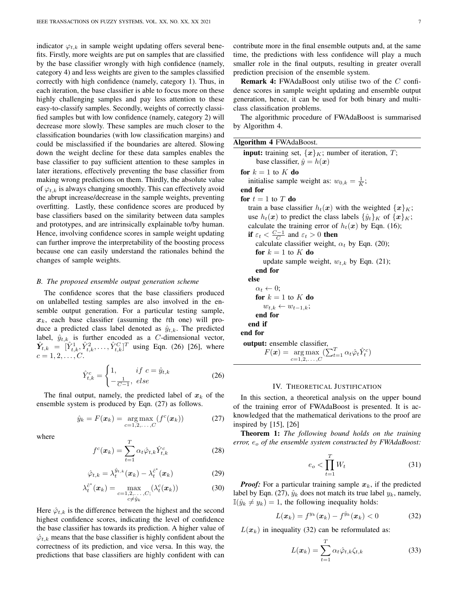indicator  $\varphi_{t,k}$  in sample weight updating offers several benefits. Firstly, more weights are put on samples that are classified by the base classifier wrongly with high confidence (namely, category 4) and less weights are given to the samples classified correctly with high confidence (namely, category 1). Thus, in each iteration, the base classifier is able to focus more on these highly challenging samples and pay less attention to these easy-to-classify samples. Secondly, weights of correctly classified samples but with low confidence (namely, category 2) will decrease more slowly. These samples are much closer to the classification boundaries (with low classification margins) and could be misclassified if the boundaries are altered. Slowing down the weight decline for these data samples enables the base classifier to pay sufficient attention to these samples in later iterations, effectively preventing the base classifier from making wrong predictions on them. Thirdly, the absolute value of  $\varphi_{t,k}$  is always changing smoothly. This can effectively avoid the abrupt increase/decrease in the sample weights, preventing overfitting. Lastly, these confidence scores are produced by base classifiers based on the similarity between data samples and prototypes, and are intrinsically explainable to/by human. Hence, involving confidence scores in sample weight updating can further improve the interpretability of the boosting process because one can easily understand the rationales behind the changes of sample weights.

#### *B. The proposed ensemble output generation scheme*

The confidence scores that the base classifiers produced on unlabelled testing samples are also involved in the ensemble output generation. For a particular testing sample,  $x_k$ , each base classifier (assuming the tth one) will produce a predicted class label denoted as  $\hat{y}_{t,k}$ . The predicted label,  $\hat{y}_{t,k}$  is further encoded as a *C*-dimensional vector,  $\hat{Y}_{t,k} = [\hat{Y}_{t,k}^1, \hat{Y}_{t,k}^2, \dots, \hat{Y}_{t,k}^C]^T$  using Eqn. (26) [26], where  $c = 1, 2, \ldots, C$ .

$$
\hat{Y}_{t,k}^c = \begin{cases} 1, & if \ c = \hat{y}_{t,k} \\ -\frac{1}{C-1}, & else \end{cases}
$$
 (26)

The final output, namely, the predicted label of  $x_k$  of the ensemble system is produced by Eqn. (27) as follows.

$$
\hat{y}_k = F(\boldsymbol{x}_k) = \underset{c=1,2,\ldots,C}{\arg \max} (f^c(\boldsymbol{x}_k)) \tag{27}
$$

where

$$
f^{c}(\boldsymbol{x}_{k}) = \sum_{t=1}^{T} \alpha_{t} \hat{\varphi}_{t,k} \hat{Y}_{t,k}^{c}
$$
 (28)

$$
\hat{\varphi}_{t,k} = \lambda_t^{\hat{y}_{t,k}}(\boldsymbol{x}_k) - \lambda_t^{\hat{c}^*}(\boldsymbol{x}_k)
$$
\n(29)

$$
\lambda_t^{\hat{c}^*}(\boldsymbol{x}_k) = \max_{\substack{c=1,2,\ldots,C;\\c\neq \hat{y}_k}} (\lambda_t^c(\boldsymbol{x}_k))
$$
(30)

Here  $\hat{\varphi}_{t,k}$  is the difference between the highest and the second highest confidence scores, indicating the level of confidence the base classifier has towards its prediction. A higher value of  $\hat{\varphi}_{t,k}$  means that the base classifier is highly confident about the correctness of its prediction, and vice versa. In this way, the predictions that base classifiers are highly confident with can contribute more in the final ensemble outputs and, at the same time, the predictions with less confidence will play a much smaller role in the final outputs, resulting in greater overall prediction precision of the ensemble system.

Remark 4: FWAdaBoost only utilise two of the C confidence scores in sample weight updating and ensemble output generation, hence, it can be used for both binary and multiclass classification problems.

The algorithmic procedure of FWAdaBoost is summarised by Algorithm 4.

| Algorithm 4 FWAdaBoost.                                                                                          |
|------------------------------------------------------------------------------------------------------------------|
| <b>input:</b> training set, $\{x\}_K$ ; number of iteration, T;                                                  |
| base classifier, $\hat{y} = h(x)$                                                                                |
| for $k=1$ to K do                                                                                                |
| initialise sample weight as: $w_{0,k} = \frac{1}{K}$ ;                                                           |
| end for                                                                                                          |
| for $t=1$ to T do                                                                                                |
| train a base classifier $h_t(x)$ with the weighted $\{x\}_K$ ;                                                   |
| use $h_t(x)$ to predict the class labels $\{\hat{y}_t\}_K$ of $\{x\}_K$ ;                                        |
| calculate the training error of $h_t(x)$ by Eqn. (16);                                                           |
| if $\varepsilon_t < \frac{C-1}{C}$ and $\varepsilon_t > 0$ then                                                  |
| calculate classifier weight, $\alpha_t$ by Eqn. (20);                                                            |
| for $k = 1$ to K do                                                                                              |
| update sample weight, $w_{t,k}$ by Eqn. (21);                                                                    |
| end for                                                                                                          |
| else                                                                                                             |
| $\alpha_t \leftarrow 0;$                                                                                         |
| for $k = 1$ to K do                                                                                              |
| $w_{t,k} \leftarrow w_{t-1,k};$                                                                                  |
| end for                                                                                                          |
| end if                                                                                                           |
| end for                                                                                                          |
| <b>output:</b> ensemble classifier,                                                                              |
| $F(\boldsymbol{x}) = \arg \max \left( \sum_{t=1}^{T} \alpha_t \hat{\varphi}_t \hat{Y}_t^c \right)$<br>$c=1,2,,C$ |
|                                                                                                                  |

#### IV. THEORETICAL JUSTIFICATION

In this section, a theoretical analysis on the upper bound of the training error of FWAdaBoost is presented. It is acknowledged that the mathematical derivations to the proof are inspired by [15], [26]

Theorem 1: *The following bound holds on the training error,*  $e_o$  *of the ensemble system constructed by FWAdaBoost:* 

$$
e_o < \prod_{t=1}^T W_t \tag{31}
$$

*Proof:* For a particular training sample  $x_k$ , if the predicted label by Eqn. (27),  $\hat{y}_k$  does not match its true label  $y_k$ , namely,  $\mathbb{I}(\hat{y}_k \neq y_k) = 1$ , the following inequality holds:

$$
L(\boldsymbol{x}_k) = f^{y_k}(\boldsymbol{x}_k) - f^{\hat{y}_k}(\boldsymbol{x}_k) < 0 \tag{32}
$$

 $L(x_k)$  in inequality (32) can be reformulated as:

$$
L(\boldsymbol{x}_k) = \sum_{t=1}^T \alpha_t \hat{\varphi}_{t,k} \zeta_{t,k}
$$
 (33)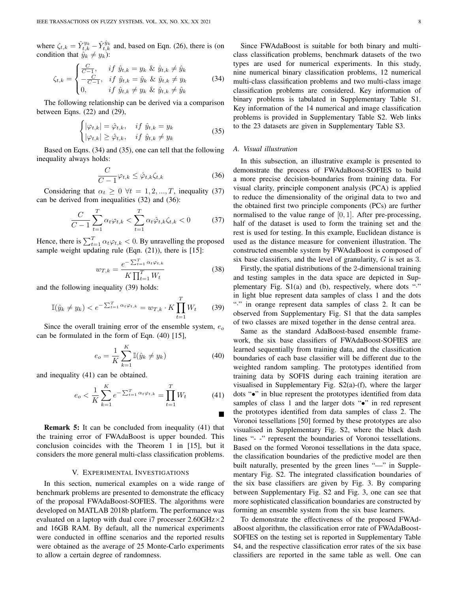where  $\zeta_{t,k} = \hat{Y}_{t,k}^{y_k} - \hat{Y}_{t,k}^{\hat{y}_k}$  and, based on Eqn. (26), there is (on condition that  $\hat{y}_k \neq y_k$ :

$$
\zeta_{t,k} = \begin{cases}\n\frac{C}{C-1}, & \text{if } \hat{y}_{t,k} = y_k \ \& \ \hat{y}_{t,k} \neq \hat{y}_k \\
-\frac{C}{C-1}, & \text{if } \hat{y}_{t,k} = \hat{y}_k \ \& \ \hat{y}_{t,k} \neq y_k \\
0, & \text{if } \hat{y}_{t,k} \neq y_k \ \& \ \hat{y}_{t,k} \neq \hat{y}_k\n\end{cases} \tag{34}
$$

The following relationship can be derived via a comparison between Eqns. (22) and (29),

$$
\begin{cases} |\varphi_{t,k}| = \hat{\varphi}_{t,k}, & \text{if } \hat{y}_{t,k} = y_k \\ |\varphi_{t,k}| \ge \hat{\varphi}_{t,k}, & \text{if } \hat{y}_{t,k} \ne y_k \end{cases}
$$
 (35)

Based on Eqns. (34) and (35), one can tell that the following inequality always holds:

$$
\frac{C}{C-1}\varphi_{t,k} \le \hat{\varphi}_{t,k}\zeta_{t,k} \tag{36}
$$

Considering that  $\alpha_t \geq 0 \ \forall t = 1, 2, ..., T$ , inequality (37) can be derived from inequalities (32) and (36):

$$
\frac{C}{C-1} \sum_{t=1}^{T} \alpha_t \varphi_{t,k} < \sum_{t=1}^{T} \alpha_t \hat{\varphi}_{t,k} \zeta_{t,k} < 0 \tag{37}
$$

Hence, there is  $\sum_{t=1}^{T} \alpha_t \varphi_{t,k} < 0$ . By unravelling the proposed sample weight updating rule (Eqn. (21)), there is [15]:

$$
w_{T,k} = \frac{e^{-\sum_{t=1}^{T} \alpha_t \varphi_{t,k}}}{K \prod_{t=1}^{T} W_t}
$$
(38)

and the following inequality (39) holds:

$$
\mathbb{I}(\hat{y}_k \neq y_k) < e^{-\sum_{t=1}^T \alpha_t \varphi_{t,k}} = w_{T,k} \cdot K \prod_{t=1}^T W_t \tag{39}
$$

Since the overall training error of the ensemble system,  $e_0$ can be formulated in the form of Eqn. (40) [15],

$$
e_o = \frac{1}{K} \sum_{k=1}^{K} \mathbb{I}(\hat{y}_k \neq y_k)
$$
 (40)

and inequality (41) can be obtained.

$$
e_o < \frac{1}{K} \sum_{k=1}^{K} e^{-\sum_{t=1}^{T} \alpha_t \varphi_{t,k}} = \prod_{t=1}^{T} W_t \tag{41}
$$

Remark 5: It can be concluded from inequality (41) that the training error of FWAdaBoost is upper bounded. This conclusion coincides with the Theorem 1 in [15], but it considers the more general multi-class classification problems.

#### V. EXPERIMENTAL INVESTIGATIONS

In this section, numerical examples on a wide range of benchmark problems are presented to demonstrate the efficacy of the proposal FWAdaBoost-SOFIES. The algorithms were developed on MATLAB 2018b platform. The performance was evaluated on a laptop with dual core i7 processer  $2.60 \text{GHz} \times 2$ and 16GB RAM. By default, all the numerical experiments were conducted in offline scenarios and the reported results were obtained as the average of 25 Monte-Carlo experiments to allow a certain degree of randomness.

Since FWAdaBoost is suitable for both binary and multiclass classification problems, benchmark datasets of the two types are used for numerical experiments. In this study, nine numerical binary classification problems, 12 numerical multi-class classification problems and two multi-class image classification problems are considered. Key information of binary problems is tabulated in Supplementary Table S1. Key information of the 14 numerical and image classification problems is provided in Supplementary Table S2. Web links to the 23 datasets are given in Supplementary Table S3.

#### *A. Visual illustration*

In this subsection, an illustrative example is presented to demonstrate the process of FWAdaBoost-SOFIES to build a more precise decision-boundaries from training data. For visual clarity, principle component analysis (PCA) is applied to reduce the dimensionality of the original data to two and the obtained first two principle components (PCs) are further normalised to the value range of  $[0, 1]$ . After pre-processing, half of the dataset is used to form the training set and the rest is used for testing. In this example, Euclidean distance is used as the distance measure for convenient illustration. The constructed ensemble system by FWAdaBoost is composed of six base classifiers, and the level of granularity, G is set as 3.

Firstly, the spatial distributions of the 2-dimensional training and testing samples in the data space are depicted in Supplementary Fig. S1(a) and (b), respectively, where dots "." in light blue represent data samples of class 1 and the dots "·" in orange represent data samples of class 2. It can be observed from Supplementary Fig. S1 that the data samples of two classes are mixed together in the dense central area.

Same as the standard AdaBoost-based ensemble framework, the six base classifiers of FWAdaBoost-SOFIES are learned sequentially from training data, and the classification boundaries of each base classifier will be different due to the weighted random sampling. The prototypes identified from training data by SOFIS during each training iteration are visualised in Supplementary Fig. S2(a)-(f), where the larger dots "•" in blue represent the prototypes identified from data samples of class 1 and the larger dots " $\bullet$ " in red represent the prototypes identified from data samples of class 2. The Voronoi tessellations [50] formed by these prototypes are also visualised in Supplementary Fig. S2, where the black dash lines "- -" represent the boundaries of Voronoi tessellations. Based on the formed Voronoi tessellations in the data space, the classification boundaries of the predictive model are then built naturally, presented by the green lines "—" in Supplementary Fig. S2. The integrated classification boundaries of the six base classifiers are given by Fig. 3. By comparing between Supplementary Fig. S2 and Fig. 3, one can see that more sophisticated classification boundaries are constructed by forming an ensemble system from the six base learners.

To demonstrate the effectiveness of the proposed FWAdaBoost algorithm, the classification error rate of FWAdaBoost-SOFIES on the testing set is reported in Supplementary Table S4, and the respective classification error rates of the six base classifiers are reported in the same table as well. One can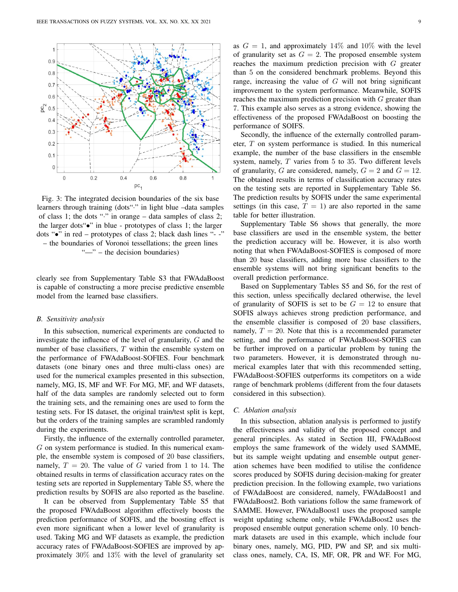

Fig. 3: The integrated decision boundaries of the six base learners through training (dots"·" in light blue –data samples of class 1; the dots "·" in orange – data samples of class 2; the larger dots"•" in blue - prototypes of class 1; the larger dots "•" in red – prototypes of class 2; black dash lines "- -" – the boundaries of Voronoi tessellations; the green lines "—" – the decision boundaries)

clearly see from Supplementary Table S3 that FWAdaBoost is capable of constructing a more precise predictive ensemble model from the learned base classifiers.

#### *B. Sensitivity analysis*

In this subsection, numerical experiments are conducted to investigate the influence of the level of granularity, G and the number of base classifiers, T within the ensemble system on the performance of FWAdaBoost-SOFIES. Four benchmark datasets (one binary ones and three multi-class ones) are used for the numerical examples presented in this subsection, namely, MG, IS, MF and WF. For MG, MF, and WF datasets, half of the data samples are randomly selected out to form the training sets, and the remaining ones are used to form the testing sets. For IS dataset, the original train/test split is kept, but the orders of the training samples are scrambled randomly during the experiments.

Firstly, the influence of the externally controlled parameter, G on system performance is studied. In this numerical example, the ensemble system is composed of 20 base classifiers, namely,  $T = 20$ . The value of G varied from 1 to 14. The obtained results in terms of classification accuracy rates on the testing sets are reported in Supplementary Table S5, where the prediction results by SOFIS are also reported as the baseline.

It can be observed from Supplementary Table S5 that the proposed FWAdaBoost algorithm effectively boosts the prediction performance of SOFIS, and the boosting effect is even more significant when a lower level of granularity is used. Taking MG and WF datasets as example, the prediction accuracy rates of FWAdaBoost-SOFIES are improved by approximately 30% and 13% with the level of granularity set as  $G = 1$ , and approximately 14% and 10% with the level of granularity set as  $G = 2$ . The proposed ensemble system reaches the maximum prediction precision with G greater than 5 on the considered benchmark problems. Beyond this range, increasing the value of  $G$  will not bring significant improvement to the system performance. Meanwhile, SOFIS reaches the maximum prediction precision with  $G$  greater than 7. This example also serves as a strong evidence, showing the effectiveness of the proposed FWAdaBoost on boosting the performance of SOIFS.

Secondly, the influence of the externally controlled parameter,  $T$  on system performance is studied. In this numerical example, the number of the base classifiers in the ensemble system, namely,  $T$  varies from  $5$  to  $35$ . Two different levels of granularity, G are considered, namely,  $G = 2$  and  $G = 12$ . The obtained results in terms of classification accuracy rates on the testing sets are reported in Supplementary Table S6. The prediction results by SOFIS under the same experimental settings (in this case,  $T = 1$ ) are also reported in the same table for better illustration.

Supplementary Table S6 shows that generally, the more base classifiers are used in the ensemble system, the better the prediction accuracy will be. However, it is also worth noting that when FWAdaBoost-SOFIES is composed of more than 20 base classifiers, adding more base classifiers to the ensemble systems will not bring significant benefits to the overall prediction performance.

Based on Supplementary Tables S5 and S6, for the rest of this section, unless specifically declared otherwise, the level of granularity of SOFIS is set to be  $G = 12$  to ensure that SOFIS always achieves strong prediction performance, and the ensemble classifier is composed of 20 base classifiers, namely,  $T = 20$ . Note that this is a recommended parameter setting, and the performance of FWAdaBoost-SOFIES can be further improved on a particular problem by tuning the two parameters. However, it is demonstrated through numerical examples later that with this recommended setting, FWAdaBoost-SOFIES outperforms its competitors on a wide range of benchmark problems (different from the four datasets considered in this subsection).

#### *C. Ablation analysis*

In this subsection, ablation analysis is performed to justify the effectiveness and validity of the proposed concept and general principles. As stated in Section III, FWAdaBoost employs the same framework of the widely used SAMME, but its sample weight updating and ensemble output generation schemes have been modified to utilise the confidence scores produced by SOFIS during decision-making for greater prediction precision. In the following example, two variations of FWAdaBoost are considered, namely, FWAdaBoost1 and FWAdaBoost2. Both variations follow the same framework of SAMME. However, FWAdaBoost1 uses the proposed sample weight updating scheme only, while FWAdaBoost2 uses the proposed ensemble output generation scheme only. 10 benchmark datasets are used in this example, which include four binary ones, namely, MG, PID, PW and SP, and six multiclass ones, namely, CA, IS, MF, OR, PR and WF. For MG,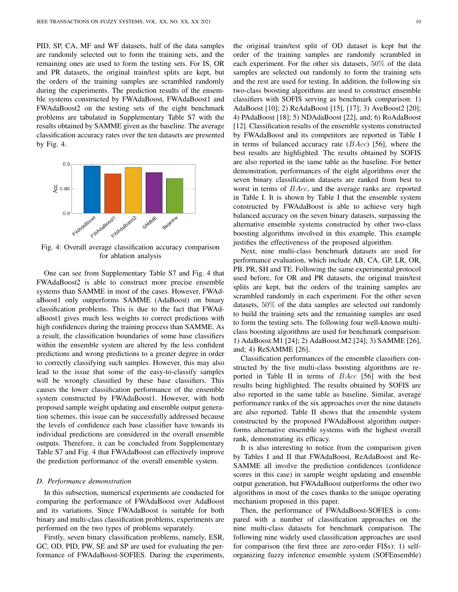PID, SP, CA, MF and WF datasets, half of the data samples are randomly selected out to form the training sets, and the remaining ones are used to form the testing sets. For IS, OR and PR datasets, the original train/test splits are kept, but the orders of the training samples are scrambled randomly during the experiments. The prediction results of the ensemble systems constructed by FWAdaBoost, FWAdaBoost1 and FWAdaBoost2 on the testing sets of the eight benchmark problems are tabulated in Supplementary Table S7 with the results obtained by SAMME given as the baseline. The average classification accuracy rates over the ten datasets are presented by Fig. 4.



Fig. 4: Overall average classification accuracy comparison for ablation analysis

One can see from Supplementary Table S7 and Fig. 4 that FWAdaBoost2 is able to construct more precise ensemble systems than SAMME in most of the cases. However, FWAdaBoost1 only outperforms SAMME (AdaBoost) on binary classification problems. This is due to the fact that FWAdaBoost1 gives much less weights to correct predictions with high confidences during the training process than SAMME. As a result, the classification boundaries of some base classifiers within the ensemble system are altered by the less confident predictions and wrong predictions to a greater degree in order to correctly classifying such samples. However, this may also lead to the issue that some of the easy-to-classify samples will be wrongly classified by these base classifiers. This causes the lower classification performance of the ensemble system constructed by FWAdaBoost1. However, with both proposed sample weight updating and ensemble output generation schemes, this issue can be successfully addressed because the levels of confidence each base classifier have towards its individual predictions are considered in the overall ensemble outputs. Therefore, it can be concluded from Supplementary Table S7 and Fig. 4 that FWAdaBoost can effectively improve the prediction performance of the overall ensemble system.

#### *D. Performance demonstration*

In this subsection, numerical experiments are conducted for comparing the performance of FWAdaBoost over AdaBoost and its variations. Since FWAdaBoost is suitable for both binary and multi-class classification problems, experiments are performed on the two types of problems separately.

Firstly, seven binary classification problems, namely, ESR, GC, OD, PID, PW, SE and SP are used for evaluating the performance of FWAdaBoost-SOFIES. During the experiments,

the original train/test split of OD dataset is kept but the order of the training samples are randomly scrambled in each experiment. For the other six datasets, 50% of the data samples are selected out randomly to form the training sets and the rest are used for testing. In addition, the following six two-class boosting algorithms are used to construct ensemble classifiers with SOFIS serving as benchmark comparison: 1) AdaBoost [10]; 2) ReAdaBoost [15], [17]; 3) AveBoost2 [20]; 4) PAdaBoost [18]; 5) NDAdaBoost [22], and; 6) RoAdaBoost [12]. Classification results of the ensemble systems constructed by FWAdaBoost and its competitors are reported in Table I in terms of balanced accuracy rate  $(BAcc)$  [56], where the best results are highlighted. The results obtained by SOFIS are also reported in the same table as the baseline. For better demonstration, performances of the eight algorithms over the seven binary classification datasets are ranked from best to worst in terms of BAcc, and the average ranks are reported in Table I. It is shown by Table I that the ensemble system constructed by FWAdaBoost is able to achieve very high balanced accuracy on the seven binary datasets, surpassing the alternative ensemble systems constructed by other two-class boosting algorithms involved in this example. This example justifies the effectiveness of the proposed algorithm.

Next, nine multi-class benchmark datasets are used for performance evaluation, which include AB, CA, GP, LR, OR, PB, PR, SH and TE. Following the same experimental protocol used before, for OR and PR datasets, the original train/test splits are kept, but the orders of the training samples are scrambled randomly in each experiment. For the other seven datasets, 50% of the data samples are selected out randomly to build the training sets and the remaining samples are used to form the testing sets. The following four well-known multiclass boosting algorithms are used for benchmark comparison: 1) AdaBoost.M1 [24]; 2) AdaBoost.M2 [24]; 3) SAMME [26], and; 4) ReSAMME [26].

Classification performances of the ensemble classifiers constructed by the five multi-class boosting algorithms are reported in Table II in terms of BAcc [56] with the best results being highlighted. The results obtained by SOFIS are also reported in the same table as baseline. Similar, average performance ranks of the six approaches over the nine datasets are also reported. Table II shows that the ensemble system constructed by the proposed FWAdaBoost algorithm outperforms alternative ensemble systems with the highest overall rank, demonstrating its efficacy.

It is also interesting to notice from the comparison given by Tables I and II that FWAdaBoost, ReAdaBoost and Re-SAMME all involve the prediction confidences (confidence scores in this case) in sample weight updating and ensemble output generation, but FWAdaBoost outperforms the other two algorithms in most of the cases thanks to the unique operating mechanism proposed in this paper.

Then, the performance of FWAdaBoost-SOFIES is compared with a number of classification approaches on the nine multi-class datasets for benchmark comparison. The following nine widely used classification approaches are used for comparison (the first three are zero-order FISs): 1) selforganizing fuzzy inference ensemble system (SOFEnsemble)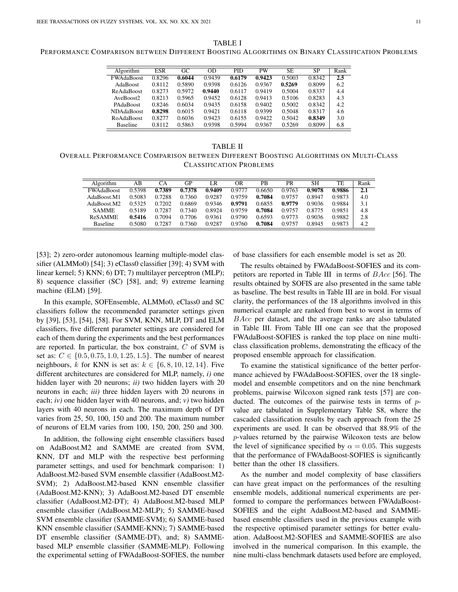| Algorithm         | <b>ESR</b> | GC     | OD     | PID.   | <b>PW</b> | SE     | <b>SP</b> | Rank |
|-------------------|------------|--------|--------|--------|-----------|--------|-----------|------|
| <b>FWAdaBoost</b> | 0.8296     | 0.6044 | 0.9439 | 0.6179 | 0.9423    | 0.5003 | 0.8342    | 2.5  |
| AdaBoost          | 0.8112     | 0.5890 | 0.9398 | 0.6126 | 0.9367    | 0.5269 | 0.8099    | 6.2  |
| <b>ReAdaBoost</b> | 0.8273     | 0.5972 | 0.9440 | 0.6117 | 0.9419    | 0.5004 | 0.8337    | 4.4  |
| AveBoost2         | 0.8213     | 0.5965 | 0.9452 | 0.6128 | 0.9413    | 0.5106 | 0.8283    | 4.3  |
| PAdaBoost         | 0.8246     | 0.6034 | 0.9435 | 0.6158 | 0.9402    | 0.5002 | 0.8342    | 4.2  |
| <b>NDAdaBoost</b> | 0.8298     | 0.6015 | 0.9421 | 0.6118 | 0.9399    | 0.5048 | 0.8317    | 4.6  |
| <b>RoAdaBoost</b> | 0.8277     | 0.6036 | 0.9423 | 0.6155 | 0.9422    | 0.5042 | 0.8349    | 3.0  |
| <b>Baseline</b>   | 0.8112     | 0.5863 | 0.9398 | 0.5994 | 0.9367    | 0.5269 | 0.8099    | 6.8  |

TABLE II OVERALL PERFORMANCE COMPARISON BETWEEN DIFFERENT BOOSTING ALGORITHMS ON MULTI-CLASS CLASSIFICATION PROBLEMS

| Algorithm               | AВ     | CА     | GΡ     | LR     | OR     | PB     | PR     | SН     | TE     | Rank |
|-------------------------|--------|--------|--------|--------|--------|--------|--------|--------|--------|------|
| <b>FWAdaBoost</b>       | 0.5398 | 0.7389 | 0.7378 | 0.9409 | 0.9777 | 0.6650 | 0.9763 | 0.9078 | 0.9886 | 2.1  |
| AdaBoost.M1             | 0.5083 | 0.7288 | 0.7360 | 0.9287 | 0.9759 | 0.7084 | 0.9757 | 0.8947 | 0.9873 | 4.0  |
| AdaBoost M <sub>2</sub> | 0.5325 | 0.7202 | 0.6869 | 0.9346 | 0.9791 | 0.6855 | 0.9779 | 0.9036 | 0.9884 | 3.1  |
| <b>SAMME</b>            | 0.5189 | 0.7287 | 0.7340 | 0.8924 | 0.9759 | 0.7084 | 0.9757 | 0.8775 | 0.9851 | 4.8  |
| <b>ReSAMME</b>          | 0.5416 | 0.7094 | 0.7706 | 0.9361 | 0.9790 | 0.6593 | 0.9773 | 0.9036 | 0.9882 | 2.8  |
| <b>Baseline</b>         | 0.5080 | 0.7287 | 0.7360 | 0.9287 | 0.9760 | 0.7084 | 0.9757 | 0.8945 | 0.9873 | 4.2  |

[53]; 2) zero-order autonomous learning multiple-model classifier (ALMMo0) [54]; 3) eClass0 classifier [39]; 4) SVM with linear kernel; 5) KNN; 6) DT; 7) multilayer perceptron (MLP); 8) sequence classifier (SC) [58], and; 9) extreme learning machine (ELM) [59].

In this example, SOFEnsemble, ALMMo0, eClass0 and SC classifiers follow the recommended parameter settings given by [39], [53], [54], [58]. For SVM, KNN, MLP, DT and ELM classifiers, five different parameter settings are considered for each of them during the experiments and the best performances are reported. In particular, the box constraint, C of SVM is set as:  $C \in \{0.5, 0.75, 1.0, 1.25, 1.5\}$ . The number of nearest neighbours, k for KNN is set as:  $k \in \{6, 8, 10, 12, 14\}$ . Five different architectures are considered for MLP, namely, *i)* one hidden layer with 20 neurons; *ii)* two hidden layers with 20 neurons in each; *iii)* three hidden layers with 20 neurons in each; *iv)* one hidden layer with 40 neurons, and; *v)* two hidden layers with 40 neurons in each. The maximum depth of DT varies from 25, 50, 100, 150 and 200. The maximum number of neurons of ELM varies from 100, 150, 200, 250 and 300.

In addition, the following eight ensemble classifiers based on AdaBoost.M2 and SAMME are created from SVM, KNN, DT and MLP with the respective best performing parameter settings, and used for benchmark comparison: 1) AdaBoost.M2-based SVM ensemble classifier (AdaBoost.M2- SVM); 2) AdaBoost.M2-based KNN ensemble classifier (AdaBoost.M2-KNN); 3) AdaBoost.M2-based DT ensemble classifier (AdaBoost.M2-DT); 4) AdaBoost.M2-based MLP ensemble classifier (AdaBoost.M2-MLP); 5) SAMME-based SVM ensemble classifier (SAMME-SVM); 6) SAMME-based KNN ensemble classifier (SAMME-KNN); 7) SAMME-based DT ensemble classifier (SAMME-DT), and; 8) SAMMEbased MLP ensemble classifier (SAMME-MLP). Following the experimental setting of FWAdaBoost-SOFIES, the number of base classifiers for each ensemble model is set as 20.

The results obtained by FWAdaBoost-SOFIES and its competitors are reported in Table III in terms of BAcc [56]. The results obtained by SOFIS are also presented in the same table as baseline. The best results in Table III are in bold. For visual clarity, the performances of the 18 algorithms involved in this numerical example are ranked from best to worst in terms of BAcc per dataset, and the average ranks are also tabulated in Table III. From Table III one can see that the proposed FWAdaBoost-SOFIES is ranked the top place on nine multiclass classification problems, demonstrating the efficacy of the proposed ensemble approach for classification.

To examine the statistical significance of the better performance achieved by FWAdaBoost-SOFIES, over the 18 singlemodel and ensemble competitors and on the nine benchmark problems, pairwise Wilcoxon signed rank tests [57] are conducted. The outcomes of the pairwise tests in terms of  $p$ value are tabulated in Supplementary Table S8, where the cascaded classification results by each approach from the 25 experiments are used. It can be observed that 88.9% of the p-values returned by the pairwise Wilcoxon tests are below the level of significance specified by  $\alpha = 0.05$ . This suggests that the performance of FWAdaBoost-SOFIES is significantly better than the other 18 classifiers.

As the number and model complexity of base classifiers can have great impact on the performances of the resulting ensemble models, additional numerical experiments are performed to compare the performances between FWAdaBoost-SOFIES and the eight AdaBoost.M2-based and SAMMEbased ensemble classifiers used in the previous example with the respective optimised parameter settings for better evaluation. AdaBoost.M2-SOFIES and SAMME-SOFIES are also involved in the numerical comparison. In this example, the nine multi-class benchmark datasets used before are employed,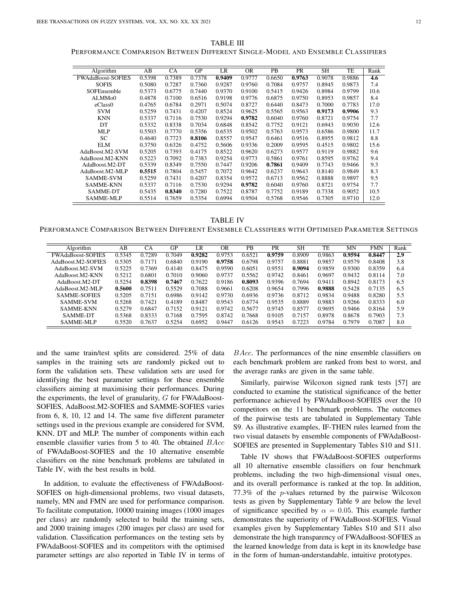TABLE III PERFORMANCE COMPARISON BETWEEN DIFFERENT SINGLE-MODEL AND ENSEMBLE CLASSIFIERS

| Algorithm                | AB     | CA     | <b>GP</b> | LR     | <b>OR</b> | PB     | PR     | <b>SH</b> | TE     | Rank |
|--------------------------|--------|--------|-----------|--------|-----------|--------|--------|-----------|--------|------|
| <b>FWAdaBoost-SOFIES</b> | 0.5398 | 0.7389 | 0.7378    | 0.9409 | 0.9777    | 0.6650 | 0.9763 | 0.9078    | 0.9886 | 4.6  |
| <b>SOFIS</b>             | 0.5080 | 0.7287 | 0.7360    | 0.9287 | 0.9760    | 0.7084 | 0.9757 | 0.8945    | 0.9873 | 7.4  |
| SOFEnsemble              | 0.5373 | 0.6775 | 0.7440    | 0.9370 | 0.9100    | 0.5415 | 0.9426 | 0.8984    | 0.9799 | 10.6 |
| ALMM <sub>00</sub>       | 0.4878 | 0.7100 | 0.6516    | 0.9198 | 0.9776    | 0.6875 | 0.9750 | 0.8953    | 0.9857 | 8.4  |
| eClass0                  | 0.4765 | 0.6784 | 0.2971    | 0.5074 | 0.8727    | 0.6440 | 0.8473 | 0.7000    | 0.7783 | 17.0 |
| <b>SVM</b>               | 0.5259 | 0.7431 | 0.4207    | 0.8524 | 0.9625    | 0.5565 | 0.9563 | 0.9173    | 0.9906 | 9.3  |
| <b>KNN</b>               | 0.5337 | 0.7116 | 0.7530    | 0.9294 | 0.9782    | 0.6040 | 0.9760 | 0.8721    | 0.9754 | 7.7  |
| DT                       | 0.5332 | 0.8338 | 0.7034    | 0.6848 | 0.8542    | 0.7752 | 0.9121 | 0.6943    | 0.9030 | 12.6 |
| <b>MLP</b>               | 0.5503 | 0.7770 | 0.5356    | 0.6535 | 0.9502    | 0.5763 | 0.9573 | 0.6586    | 0.9800 | 11.7 |
| <b>SC</b>                | 0.4640 | 0.7723 | 0.8106    | 0.8557 | 0.9547    | 0.6461 | 0.9516 | 0.8955    | 0.9812 | 8.8  |
| <b>ELM</b>               | 0.3750 | 0.6326 | 0.4752    | 0.5606 | 0.9336    | 0.2009 | 0.9595 | 0.4515    | 0.9802 | 15.6 |
| AdaBoost.M2-SVM          | 0.5205 | 0.7393 | 0.4175    | 0.8522 | 0.9620    | 0.6273 | 0.9577 | 0.9119    | 0.9882 | 9.6  |
| AdaBoost.M2-KNN          | 0.5223 | 0.7092 | 0.7383    | 0.9254 | 0.9773    | 0.5861 | 0.9761 | 0.8595    | 0.9762 | 9.4  |
| AdaBoost.M2-DT           | 0.5339 | 0.8349 | 0.7550    | 0.7447 | 0.9206    | 0.7861 | 0.9409 | 0.7743    | 0.9466 | 9.3  |
| AdaBoost.M2-MLP          | 0.5515 | 0.7804 | 0.5457    | 0.7072 | 0.9642    | 0.6237 | 0.9643 | 0.8140    | 0.9849 | 8.3  |
| <b>SAMME-SVM</b>         | 0.5259 | 0.7431 | 0.4207    | 0.8354 | 0.9572    | 0.6713 | 0.9562 | 0.8888    | 0.9897 | 9.5  |
| <b>SAMME-KNN</b>         | 0.5337 | 0.7116 | 0.7530    | 0.9294 | 0.9782    | 0.6040 | 0.9760 | 0.8721    | 0.9754 | 7.7  |
| <b>SAMME-DT</b>          | 0.5435 | 0.8340 | 0.7280    | 0.7522 | 0.8787    | 0.7752 | 0.9189 | 0.7338    | 0.9052 | 10.5 |
| <b>SAMME-MLP</b>         | 0.5514 | 0.7659 | 0.5354    | 0.6994 | 0.9504    | 0.5768 | 0.9546 | 0.7305    | 0.9710 | 12.0 |

TABLE IV PERFORMANCE COMPARISON BETWEEN DIFFERENT ENSEMBLE CLASSIFIERS WITH OPTIMISED PARAMETER SETTINGS

| Algorithm                | AB     | СA     | GP     | LR     | 0 <sub>R</sub> | <b>PB</b> | PR     | <b>SH</b> | <b>TE</b> | MN     | <b>FMN</b> | Rank |
|--------------------------|--------|--------|--------|--------|----------------|-----------|--------|-----------|-----------|--------|------------|------|
| <b>FWAdaBoost-SOFIES</b> | 0.5345 | 0.7289 | 0.7049 | 0.9282 | 0.9753         | 0.6521    | 0.9759 | 0.8909    | 0.9863    | 0.9594 | 0.8447     | 2.9  |
| AdaBoost.M2-SOFIES       | 0.5305 | 0.7171 | 0.6840 | 0.9190 | 0.9758         | 0.6798    | 0.9757 | 0.8881    | 0.9857    | 0.9579 | 0.8408     | 3.8  |
| AdaBoost.M2-SVM          | 0.5225 | 0.7369 | 0.4140 | 0.8475 | 0.9590         | 0.6051    | 0.9551 | 0.9094    | 0.9859    | 0.9300 | 0.8359     | 6.4  |
| AdaBoost M2-KNN          | 0.5212 | 0.6801 | 0.7010 | 0.9060 | 0.9737         | 0.5562    | 0.9742 | 0.8461    | 0.9697    | 0.9432 | 0.8114     | 7.0  |
| AdaBoost.M2-DT           | 0.5254 | 0.8398 | 0.7467 | 0.7622 | 0.9186         | 0.8093    | 0.9396 | 0.7694    | 0.9411    | 0.8942 | 0.8173     | 6.5  |
| AdaBoost.M2-MLP          | 0.5600 | 0.7511 | 0.5529 | 0.7088 | 0.9661         | 0.6208    | 0.9654 | 0.7996    | 0.9888    | 0.5428 | 0.7135     | 6.5  |
| <b>SAMME-SOFIES</b>      | 0.5205 | 0.7151 | 0.6986 | 0.9142 | 0.9730         | 0.6936    | 0.9736 | 0.8712    | 0.9834    | 0.9488 | 0.8280     | 5.5  |
| SAMME-SVM                | 0.5268 | 0.7421 | 0.4189 | 0.8487 | 0.9543         | 0.6774    | 0.9535 | 0.8889    | 0.9883    | 0.9266 | 0.8333     | 6.0  |
| <b>SAMME-KNN</b>         | 0.5279 | 0.6847 | 0.7152 | 0.9121 | 0.9742         | 0.5677    | 0.9745 | 0.8577    | 0.9695    | 0.9466 | 0.8164     | 5.9  |
| SAMME-DT                 | 0.5368 | 0.8333 | 0.7168 | 0.7595 | 0.8742         | 0.7668    | 0.9105 | 0.7157    | 0.8978    | 0.8678 | 0.7903     | 7.3  |
| <b>SAMME-MLP</b>         | 0.5520 | 0.7637 | 0.5254 | 0.6952 | 0.9447         | 0.6126    | 0.9543 | 0.7223    | 0.9784    | 0.7979 | 0.7087     | 8.0  |
|                          |        |        |        |        |                |           |        |           |           |        |            |      |

and the same train/test splits are considered. 25% of data samples in the training sets are randomly picked out to form the validation sets. These validation sets are used for identifying the best parameter settings for these ensemble classifiers aiming at maximising their performances. During the experiments, the level of granularity,  $G$  for FWAdaBoost-SOFIES, AdaBoost.M2-SOFIES and SAMME-SOFIES varies from 6, 8, 10, 12 and 14. The same five different parameter settings used in the previous example are considered for SVM, KNN, DT and MLP. The number of components within each ensemble classifier varies from 5 to 40. The obtained  $BAcc$ of FWAdaBoost-SOFIES and the 10 alternative ensemble classifiers on the nine benchmark problems are tabulated in Table IV, with the best results in bold.

In addition, to evaluate the effectiveness of FWAdaBoost-SOFIES on high-dimensional problems, two visual datasets, namely, MN and FMN are used for performance comparison. To facilitate computation, 10000 training images (1000 images per class) are randomly selected to build the training sets, and 2000 training images (200 images per class) are used for validation. Classification performances on the testing sets by FWAdaBoost-SOFIES and its competitors with the optimised parameter settings are also reported in Table IV in terms of BAcc. The performances of the nine ensemble classifiers on each benchmark problem are ranked from best to worst, and the average ranks are given in the same table.

Similarly, pairwise Wilcoxon signed rank tests [57] are conducted to examine the statistical significance of the better performance achieved by FWAdaBoost-SOFIES over the 10 competitors on the 11 benchmark problems. The outcomes of the pairwise tests are tabulated in Supplementary Table S9. As illustrative examples, IF-THEN rules learned from the two visual datasets by ensemble components of FWAdaBoost-SOFIES are presented in Supplementary Tables S10 and S11.

Table IV shows that FWAdaBoost-SOFIES outperforms all 10 alternative ensemble classifiers on four benchmark problems, including the two high-dimensional visual ones, and its overall performance is ranked at the top. In addition, 77.3% of the p-values returned by the pairwise Wilcoxon tests as given by Supplementary Table 9 are below the level of significance specified by  $\alpha = 0.05$ . This example further demonstrates the superiority of FWAdaBoost-SOFIES. Visual examples given by Supplementary Tables S10 and S11 also demonstrate the high transparency of FWAdaBoost-SOFIES as the learned knowledge from data is kept in its knowledge base in the form of human-understandable, intuitive prototypes.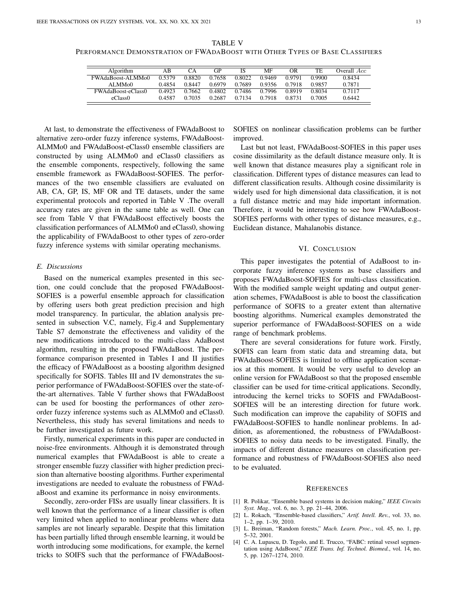TABLE V PERFORMANCE DEMONSTRATION OF FWADABOOST WITH OTHER TYPES OF BASE CLASSIFIERS

| Algorithm                | AΒ     | ņА     | GP     | IS     | MF     | OR     | TE     | Overall Acc |
|--------------------------|--------|--------|--------|--------|--------|--------|--------|-------------|
| <b>FWAdaBoost-ALMMo0</b> | 0.5379 | 0.8820 | 0.7658 | 0.8022 | 0.9469 | 0.9791 | 0.9900 | 0.8434      |
| ALMM <sub>0</sub> 0      | 0.4854 | 0.8447 | 0.6979 | 0.7689 | 0.9356 | 0.7918 | 0.9857 | 0.7871      |
| FWAdaBoost-eClass0       | 0.4923 | 0.7662 | 0.4802 | 0.7486 | 0.7996 | 0.8919 | 0.8034 | 0.7117      |
| eClass0                  | 0.4587 | 0.7035 | 0.2687 | 0.7134 | 0.7918 | 0.8731 | 0.7005 | 0.6442      |

At last, to demonstrate the effectiveness of FWAdaBoost to alternative zero-order fuzzy inference systems, FWAdaBoost-ALMMo0 and FWAdaBoost-eClass0 ensemble classifiers are constructed by using ALMMo0 and eClass0 classifiers as the ensemble components, respectively, following the same ensemble framework as FWAdaBoost-SOFIES. The performances of the two ensemble classifiers are evaluated on AB, CA, GP, IS, MF OR and TE datasets, under the same experimental protocols and reported in Table V .The overall accuracy rates are given in the same table as well. One can see from Table V that FWAdaBoost effectively boosts the classification performances of ALMMo0 and eClass0, showing the applicability of FWAdaBoost to other types of zero-order fuzzy inference systems with similar operating mechanisms.

#### *E. Discussions*

Based on the numerical examples presented in this section, one could conclude that the proposed FWAdaBoost-SOFIES is a powerful ensemble approach for classification by offering users both great prediction precision and high model transparency. In particular, the ablation analysis presented in subsection V.C, namely, Fig.4 and Supplementary Table S7 demonstrate the effectiveness and validity of the new modifications introduced to the multi-class AdaBoost algorithm, resulting in the proposed FWAdaBoost. The performance comparison presented in Tables I and II justifies the efficacy of FWAdaBoost as a boosting algorithm designed specifically for SOFIS. Tables III and IV demonstrates the superior performance of FWAdaBoost-SOFIES over the state-ofthe-art alternatives. Table V further shows that FWAdaBoost can be used for boosting the performances of other zeroorder fuzzy inference systems such as ALMMo0 and eClass0. Nevertheless, this study has several limitations and needs to be further investigated as future work.

Firstly, numerical experiments in this paper are conducted in noise-free environments. Although it is demonstrated through numerical examples that FWAdaBoost is able to create a stronger ensemble fuzzy classifier with higher prediction precision than alternative boosting algorithms. Further experimental investigations are needed to evaluate the robustness of FWAdaBoost and examine its performance in noisy environments.

Secondly, zero-order FISs are usually linear classifiers. It is well known that the performance of a linear classifier is often very limited when applied to nonlinear problems where data samples are not linearly separable. Despite that this limitation has been partially lifted through ensemble learning, it would be worth introducing some modifications, for example, the kernel tricks to SOIFS such that the performance of FWAdaBoostSOFIES on nonlinear classification problems can be further improved.

Last but not least, FWAdaBoost-SOFIES in this paper uses cosine dissimilarity as the default distance measure only. It is well known that distance measures play a significant role in classification. Different types of distance measures can lead to different classification results. Although cosine dissimilarity is widely used for high dimensional data classification, it is not a full distance metric and may hide important information. Therefore, it would be interesting to see how FWAdaBoost-SOFIES performs with other types of distance measures, e.g., Euclidean distance, Mahalanobis distance.

#### VI. CONCLUSION

This paper investigates the potential of AdaBoost to incorporate fuzzy inference systems as base classifiers and proposes FWAdaBoost-SOFIES for multi-class classification. With the modified sample weight updating and output generation schemes, FWAdaBoost is able to boost the classification performance of SOFIS to a greater extent than alternative boosting algorithms. Numerical examples demonstrated the superior performance of FWAdaBoost-SOFIES on a wide range of benchmark problems.

There are several considerations for future work. Firstly, SOFIS can learn from static data and streaming data, but FWAdaBoost-SOFIES is limited to offline application scenarios at this moment. It would be very useful to develop an online version for FWAdaBoost so that the proposed ensemble classifier can be used for time-critical applications. Secondly, introducing the kernel tricks to SOFIS and FWAdaBoost-SOFIES will be an interesting direction for future work. Such modification can improve the capability of SOFIS and FWAdaBoost-SOFIES to handle nonlinear problems. In addition, as aforementioned, the robustness of FWAdaBoost-SOFIES to noisy data needs to be investigated. Finally, the impacts of different distance measures on classification performance and robustness of FWAdaBoost-SOFIES also need to be evaluated.

#### **REFERENCES**

- [1] R. Polikar, "Ensemble based systems in decision making," *IEEE Circuits Syst. Mag.*, vol. 6, no. 3, pp. 21–44, 2006.
- [2] L. Rokach, "Ensemble-based classifiers," *Artif. Intell. Rev.*, vol. 33, no. 1–2, pp. 1–39, 2010.
- [3] L. Breiman, "Random forests," *Mach. Learn. Proc.*, vol. 45, no. 1, pp. 5–32, 2001.
- [4] C. A. Lupascu, D. Tegolo, and E. Trucco, "FABC: retinal vessel segmentation using AdaBoost," *IEEE Trans. Inf. Technol. Biomed.*, vol. 14, no. 5, pp. 1267–1274, 2010.